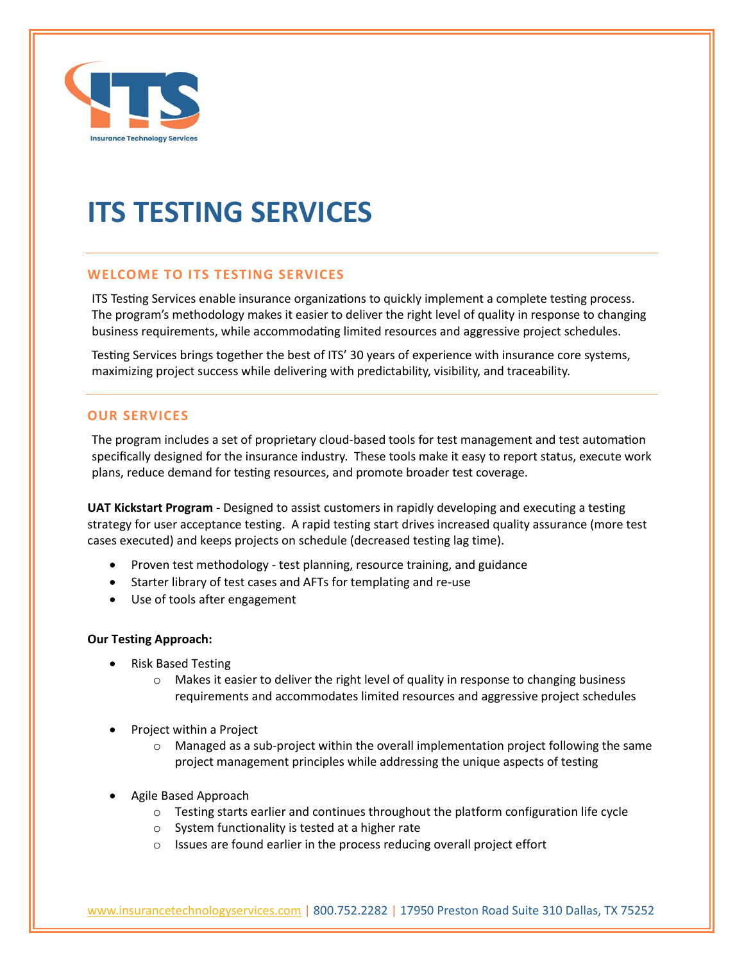

# **ITS TESTING SERVICES**

## **WELCOME TO ITS TESTING SERVICES**

ITS Testing Services enable insurance organizations to quickly implement a complete testing process. The program's methodology makes it easier to deliver the right level of quality in response to changing business requirements, while accommodating limited resources and aggressive project schedules.

Testing Services brings together the best of ITS' 30 years of experience with insurance core systems, maximizing project success while delivering with predictability, visibility, and traceability.

#### **OUR SERVICES**

The program includes a set of proprietary cloud-based tools for test management and test automation specifically designed for the insurance industry. These tools make it easy to report status, execute work plans, reduce demand for testing resources, and promote broader test coverage.

**UAT Kickstart Program -** Designed to assist customers in rapidly developing and executing a testing strategy for user acceptance testing. A rapid testing start drives increased quality assurance (more test cases executed) and keeps projects on schedule (decreased testing lag time).

- Proven test methodology test planning, resource training, and guidance
- Starter library of test cases and AFTs for templating and re-use
- Use of tools after engagement

#### **Our Testing Approach:**

- Risk Based Testing
	- $\circ$  Makes it easier to deliver the right level of quality in response to changing business requirements and accommodates limited resources and aggressive project schedules
- Project within a Project
	- $\circ$  Managed as a sub-project within the overall implementation project following the same project management principles while addressing the unique aspects of testing
- Agile Based Approach
	- $\circ$  Testing starts earlier and continues throughout the platform configuration life cycle
	- o System functionality is tested at a higher rate
	- o Issues are found earlier in the process reducing overall project effort